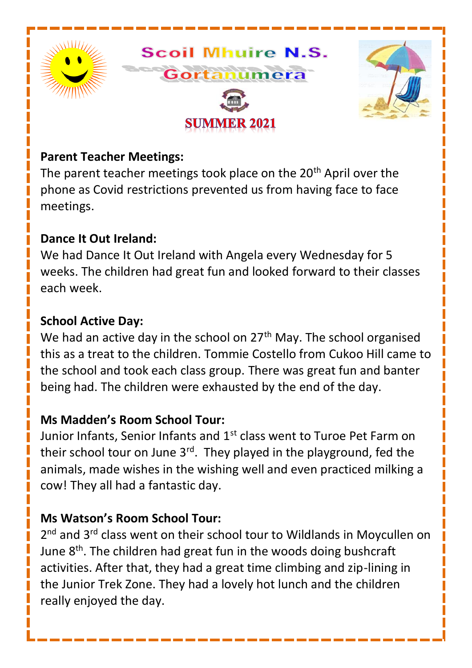

#### **Parent Teacher Meetings:**

The parent teacher meetings took place on the 20<sup>th</sup> April over the phone as Covid restrictions prevented us from having face to face meetings.

#### **Dance It Out Ireland:**

We had Dance It Out Ireland with Angela every Wednesday for 5 weeks. The children had great fun and looked forward to their classes each week.

#### **School Active Day:**

We had an active day in the school on 27<sup>th</sup> May. The school organised this as a treat to the children. Tommie Costello from Cukoo Hill came to the school and took each class group. There was great fun and banter being had. The children were exhausted by the end of the day.

#### **Ms Madden's Room School Tour:**

Junior Infants, Senior Infants and 1<sup>st</sup> class went to Turoe Pet Farm on their school tour on June  $3<sup>rd</sup>$ . They played in the playground, fed the animals, made wishes in the wishing well and even practiced milking a cow! They all had a fantastic day.

## **Ms Watson's Room School Tour:**

2<sup>nd</sup> and 3<sup>rd</sup> class went on their school tour to Wildlands in Moycullen on June  $8<sup>th</sup>$ . The children had great fun in the woods doing bushcraft activities. After that, they had a great time climbing and zip-lining in the Junior Trek Zone. They had a lovely hot lunch and the children really enjoyed the day.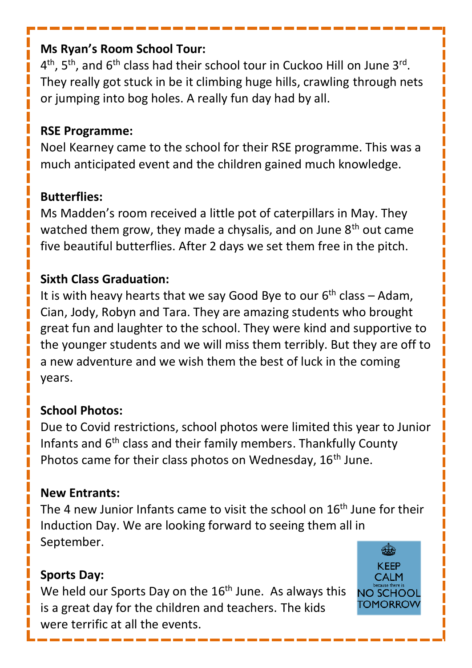## **Ms Ryan's Room School Tour:**

4<sup>th</sup>, 5<sup>th</sup>, and 6<sup>th</sup> class had their school tour in Cuckoo Hill on June 3<sup>rd</sup>. They really got stuck in be it climbing huge hills, crawling through nets or jumping into bog holes. A really fun day had by all.

## **RSE Programme:**

Noel Kearney came to the school for their RSE programme. This was a much anticipated event and the children gained much knowledge.

## **Butterflies:**

Ms Madden's room received a little pot of caterpillars in May. They watched them grow, they made a chysalis, and on June 8<sup>th</sup> out came five beautiful butterflies. After 2 days we set them free in the pitch.

## **Sixth Class Graduation:**

It is with heavy hearts that we say Good Bye to our  $6<sup>th</sup>$  class – Adam, Cian, Jody, Robyn and Tara. They are amazing students who brought great fun and laughter to the school. They were kind and supportive to the younger students and we will miss them terribly. But they are off to a new adventure and we wish them the best of luck in the coming years.

## **School Photos:**

Due to Covid restrictions, school photos were limited this year to Junior Infants and 6<sup>th</sup> class and their family members. Thankfully County Photos came for their class photos on Wednesday, 16<sup>th</sup> June.

## **New Entrants:**

The 4 new Junior Infants came to visit the school on 16<sup>th</sup> June for their Induction Day. We are looking forward to seeing them all in September.

## **Sports Day:**

We held our Sports Day on the 16<sup>th</sup> June. As always this is a great day for the children and teachers. The kids were terrific at all the events.

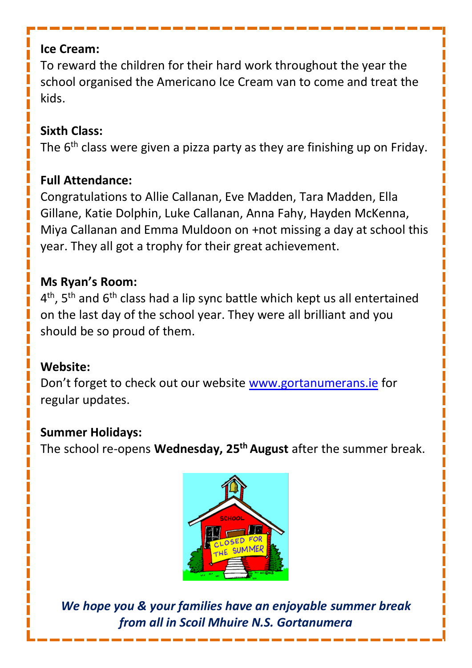## **Ice Cream:**

To reward the children for their hard work throughout the year the school organised the Americano Ice Cream van to come and treat the kids.

# **Sixth Class:**

The 6<sup>th</sup> class were given a pizza party as they are finishing up on Friday.

## **Full Attendance:**

Congratulations to Allie Callanan, Eve Madden, Tara Madden, Ella Gillane, Katie Dolphin, Luke Callanan, Anna Fahy, Hayden McKenna, Miya Callanan and Emma Muldoon on +not missing a day at school this year. They all got a trophy for their great achievement.

# **Ms Ryan's Room:**

4<sup>th</sup>, 5<sup>th</sup> and 6<sup>th</sup> class had a lip sync battle which kept us all entertained on the last day of the school year. They were all brilliant and you should be so proud of them.

# **Website:**

Don't forget to check out our website [www.gortanumerans.ie](http://www.gortanumerans.ie/) for regular updates.

## **Summer Holidays:**

The school re-opens **Wednesday, 25 th August** after the summer break.



*We hope you & your families have an enjoyable summer break from all in Scoil Mhuire N.S. Gortanumera*